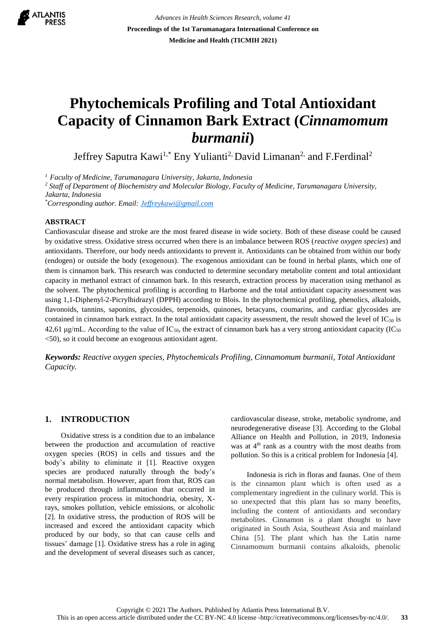

*Advances in Health Sciences Research, volume 41* **Proceedings of the 1st Tarumanagara International Conference on Medicine and Health (TICMIH 2021)**

# **Phytochemicals Profiling and Total Antioxidant Capacity of Cinnamon Bark Extract (***Cinnamomum burmanii***)**

Jeffrey Saputra Kawi<sup>1,\*</sup> Eny Yulianti<sup>2,</sup> David Limanan<sup>2,</sup> and F.Ferdinal<sup>2</sup>

*<sup>1</sup>Faculty of Medicine, Tarumanagara University, Jakarta, Indonesia* 

*<sup>2</sup> Staff of Department of Biochemistry and Molecular Biology, Faculty of Medicine, Tarumanagara University, Jakarta, Indonesia*

*\*Corresponding author. Email: [Jeffreykawi@gmail.com](mailto:Jeffreykawi@gmail.com)*

#### **ABSTRACT**

Cardiovascular disease and stroke are the most feared disease in wide society. Both of these disease could be caused by oxidative stress. Oxidative stress occurred when there is an imbalance between ROS (*reactive oxygen species*) and antioxidants. Therefore, our body needs antioxidants to prevent it. Antioxidants can be obtained from within our body (endogen) or outside the body (exogenous). The exogenous antioxidant can be found in herbal plants, which one of them is cinnamon bark. This research was conducted to determine secondary metabolite content and total antioxidant capacity in methanol extract of cinnamon bark. In this research, extraction process by maceration using methanol as the solvent. The phytochemical profiling is according to Harborne and the total antioxidant capacity assessment was using 1,1-Diphenyl-2-Picrylhidrazyl (DPPH) according to Blois. In the phytochemical profiling, phenolics, alkaloids, flavonoids, tannins, saponins, glycosides, terpenoids, quinones, betacyans, coumarins, and cardiac glycosides are contained in cinnamon bark extract. In the total antioxidant capacity assessment, the result showed the level of  $IC_{50}$  is 42,61 μg/mL. According to the value of  $IC_{50}$ , the extract of cinnamon bark has a very strong antioxidant capacity (IC<sub>50</sub>) <50), so it could become an exogenous antioxidant agent.

*Keywords: Reactive oxygen species, Phytochemicals Profiling, Cinnamomum burmanii, Total Antioxidant Capacity.*

## **1. INTRODUCTION**

Oxidative stress is a condition due to an imbalance between the production and accumulation of reactive oxygen species (ROS) in cells and tissues and the body's ability to eliminate it [1]. Reactive oxygen species are produced naturally through the body's normal metabolism. However, apart from that, ROS can be produced through inflammation that occurred in every respiration process in mitochondria, obesity, Xrays, smokes pollution, vehicle emissions, or alcoholic [2]. In oxidative stress, the production of ROS will be increased and exceed the antioxidant capacity which produced by our body, so that can cause cells and tissues' damage [1]. Oxidative stress has a role in aging and the development of several diseases such as cancer, cardiovascular disease, stroke, metabolic syndrome, and neurodegenerative disease [3]. According to the Global Alliance on Health and Pollution, in 2019, Indonesia was at  $4<sup>th</sup>$  rank as a country with the most deaths from pollution. So this is a critical problem for Indonesia [4].

Indonesia is rich in floras and faunas. One of them is the cinnamon plant which is often used as a complementary ingredient in the culinary world. This is so unexpected that this plant has so many benefits, including the content of antioxidants and secondary metabolites. Cinnamon is a plant thought to have originated in South Asia, Southeast Asia and mainland China [5]. The plant which has the Latin name Cinnamomum burmanii contains alkaloids, phenolic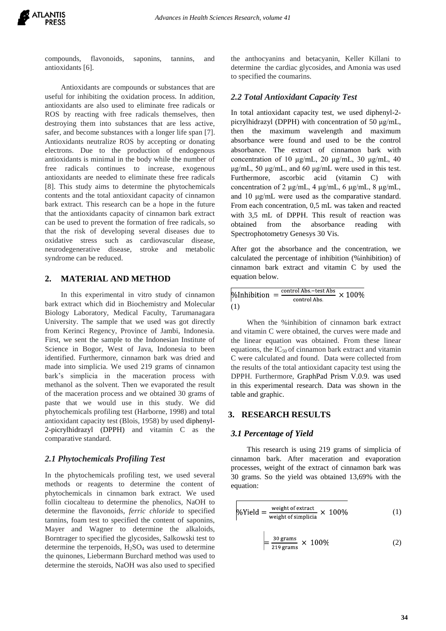

compounds, flavonoids, saponins, tannins, and antioxidants [6].

Antioxidants are compounds or substances that are useful for inhibiting the oxidation process. In addition, antioxidants are also used to eliminate free radicals or ROS by reacting with free radicals themselves, then destroying them into substances that are less active, safer, and become substances with a longer life span [7]. Antioxidants neutralize ROS by accepting or donating electrons. Due to the production of endogenous antioxidants is minimal in the body while the number of free radicals continues to increase, exogenous antioxidants are needed to eliminate these free radicals [8]. This study aims to determine the phytochemicals contents and the total antioxidant capacity of cinnamon bark extract. This research can be a hope in the future that the antioxidants capacity of cinnamon bark extract can be used to prevent the formation of free radicals, so that the risk of developing several diseases due to oxidative stress such as cardiovascular disease, neurodegenerative disease, stroke and metabolic syndrome can be reduced.

## **2. MATERIAL AND METHOD**

In this experimental in vitro study of cinnamon bark extract which did in Biochemistry and Molecular Biology Laboratory, Medical Faculty, Tarumanagara University. The sample that we used was got directly from Kerinci Regency, Province of Jambi, Indonesia. First, we sent the sample to the Indonesian Institute of Science in Bogor, West of Java, Indonesia to been identified. Furthermore, cinnamon bark was dried and made into simplicia. We used 219 grams of cinnamon bark's simplicia in the maceration process with methanol as the solvent. Then we evaporated the result of the maceration process and we obtained 30 grams of paste that we would use in this study. We did phytochemicals profiling test (Harborne, 1998) and total antioxidant capacity test (Blois, 1958) by used diphenyl-2-picrylhidrazyl (DPPH) and vitamin C as the comparative standard.

#### *2.1 Phytochemicals Profiling Test*

In the phytochemicals profiling test, we used several methods or reagents to determine the content of phytochemicals in cinnamon bark extract. We used follin ciocalteau to determine the phenolics, NaOH to determine the flavonoids, *ferric chloride* to specified tannins, foam test to specified the content of saponins, Mayer and Wagner to determine the alkaloids, Borntrager to specified the glycosides, Salkowski test to determine the terpenoids,  $H_2SO_4$  was used to determine the quinones, Liebermann Burchard method was used to determine the steroids, NaOH was also used to specified the anthocyanins and betacyanin, Keller Killani to determine the cardiac glycosides, and Amonia was used to specified the coumarins.

## *2.2 Total Antioxidant Capacity Test*

In total antioxidant capacity test, we used diphenyl-2 picrylhidrazyl (DPPH) with concentration of 50 μg/mL, then the maximum wavelength and maximum absorbance were found and used to be the control absorbance. The extract of cinnamon bark with concentration of 10 μg/mL, 20 μg/mL, 30 μg/mL, 40 μg/mL, 50 μg/mL, and 60 μg/mL were used in this test. Furthermore, ascorbic acid (vitamin C) with concentration of 2 μg/mL, 4 μg/mL, 6 μg/mL, 8 μg/mL, and 10 μg/mL were used as the comparative standard. From each concentration, 0,5 mL was taken and reacted with 3,5 mL of DPPH. This result of reaction was obtained from the absorbance reading with Spectrophotometry Genesys 30 Vis.

After got the absorbance and the concentration, we calculated the percentage of inhibition (%inhibition) of cinnamon bark extract and vitamin C by used the equation below.

$$
\% Inhibition = \frac{\text{control Abs}-\text{test Abs}}{\text{control Abs.}} \times 100\%
$$
  
(1)

When the %inhibition of cinnamon bark extract and vitamin C were obtained, the curves were made and the linear equation was obtained. From these linear equations, the  $IC_{50}$  of cinnamon bark extract and vitamin C were calculated and found. Data were collected from the results of the total antioxidant capacity test using the DPPH. Furthermore, GraphPad Prism V.0.9. was used in this experimental research. Data was shown in the table and graphic.

## **3. RESEARCH RESULTS**

#### *3.1 Percentage of Yield*

This research is using 219 grams of simplicia of cinnamon bark. After maceration and evaporation processes, weight of the extract of cinnamon bark was 30 grams. So the yield was obtained 13,69% with the equation:

$$
\% \text{Yield} = \frac{\text{weight of extract}}{\text{weight of simplicial}} \times 100\%
$$
 (1)

$$
=\frac{30 \text{ grams}}{219 \text{ grams}} \times 100\%
$$
 (2)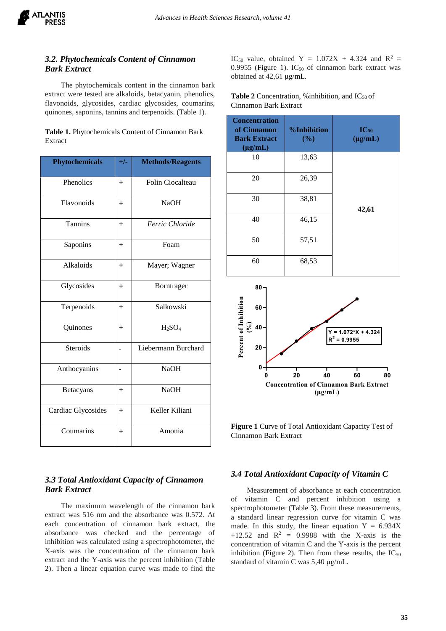# *3.2. Phytochemicals Content of Cinnamon Bark Extract*

The phytochemicals content in the cinnamon bark extract were tested are alkaloids, betacyanin, phenolics, flavonoids, glycosides, cardiac glycosides, coumarins, quinones, saponins, tannins and terpenoids. (Table 1).

|         | Table 1. Phytochemicals Content of Cinnamon Bark |  |
|---------|--------------------------------------------------|--|
| Extract |                                                  |  |

| <b>Phytochemicals</b> | $+/-$  | <b>Methods/Reagents</b> |
|-----------------------|--------|-------------------------|
| Phenolics             | $^{+}$ | Folin Ciocalteau        |
| Flavonoids            | $^{+}$ | <b>NaOH</b>             |
| <b>Tannins</b>        | $+$    | Ferric Chloride         |
| Saponins              | $+$    | Foam                    |
| Alkaloids             | $+$    | Mayer; Wagner           |
| Glycosides            | $+$    | Borntrager              |
| Terpenoids            | $^{+}$ | Salkowski               |
| Quinones              | $^{+}$ | $H_2SO_4$               |
| <b>Steroids</b>       |        | Liebermann Burchard     |
| Anthocyanins          |        | <b>NaOH</b>             |
| Betacyans             | $+$    | <b>NaOH</b>             |
| Cardiac Glycosides    | $+$    | Keller Kiliani          |
| Coumarins             | $^{+}$ | Amonia                  |

# *3.3 Total Antioxidant Capacity of Cinnamon Bark Extract*

The maximum wavelength of the cinnamon bark extract was 516 nm and the absorbance was 0.572. At each concentration of cinnamon bark extract, the absorbance was checked and the percentage of inhibition was calculated using a spectrophotometer, the X-axis was the concentration of the cinnamon bark extract and the Y-axis was the percent inhibition (Table 2). Then a linear equation curve was made to find the IC<sub>50</sub> value, obtained Y =  $1.072X + 4.324$  and R<sup>2</sup> =  $0.9955$  (Figure 1). IC<sub>50</sub> of cinnamon bark extract was obtained at 42,61 μg/mL.

**Table 2** Concentration, % inhibition, and  $IC_{50}$  of Cinnamon Bark Extract

| <b>Concentration</b><br>of Cinnamon<br><b>Bark Extract</b><br>$(\mu g/mL)$ | <b>%Inhibition</b><br>(%) | $IC_{50}$<br>$(\mu g/mL)$ |
|----------------------------------------------------------------------------|---------------------------|---------------------------|
| 10                                                                         | 13,63                     |                           |
| 20                                                                         | 26,39                     |                           |
| 30                                                                         | 38,81                     | 42,61                     |
| 40                                                                         | 46,15                     |                           |
| 50                                                                         | 57,51                     |                           |
| 60                                                                         | 68,53                     |                           |



**Figure 1** Curve of Total Antioxidant Capacity Test of Cinnamon Bark Extract

# *3.4 Total Antioxidant Capacity of Vitamin C*

Measurement of absorbance at each concentration of vitamin C and percent inhibition using a spectrophotometer (Table 3). From these measurements, a standard linear regression curve for vitamin C was made. In this study, the linear equation  $Y = 6.934X$ +12.52 and  $R^2$  = 0.9988 with the X-axis is the concentration of vitamin C and the Y-axis is the percent inhibition (Figure 2). Then from these results, the  $IC_{50}$ standard of vitamin C was 5,40 μg/mL.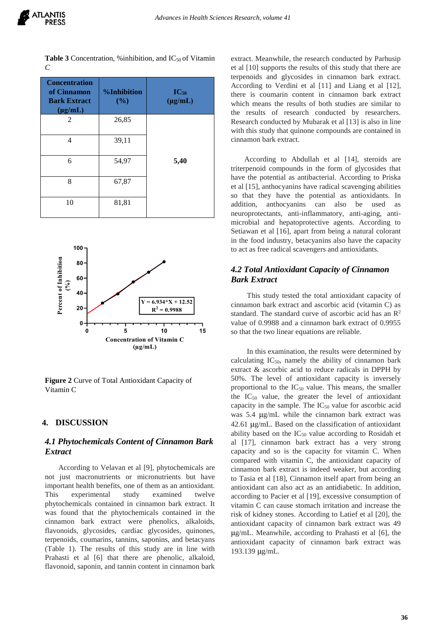**Table 3** Concentration, % inhibition, and  $IC_{50}$  of Vitamin *C*

| <b>Concentration</b><br>of Cinnamon<br><b>Bark Extract</b><br>$(\mu g/mL)$ | <b>%Inhibition</b><br>(%) | $IC_{50}$<br>$(\mu g/mL)$ |
|----------------------------------------------------------------------------|---------------------------|---------------------------|
| 2                                                                          | 26,85                     |                           |
| 4                                                                          | 39,11                     |                           |
| 6                                                                          | 54,97                     | 5,40                      |
| 8                                                                          | 67,87                     |                           |
| 10                                                                         | 81,81                     |                           |



**Figure 2** Curve of Total Antioxidant Capacity of Vitamin C

# **4. DISCUSSION**

# *4.1 Phytochemicals Content of Cinnamon Bark Extract*

According to Velavan et al [9], phytochemicals are not just macronutrients or micronutrients but have important health benefits, one of them as an antioxidant. This experimental study examined twelve phytochemicals contained in cinnamon bark extract. It was found that the phytochemicals contained in the cinnamon bark extract were phenolics, alkaloids, flavonoids, glycosides, cardiac glycosides, quinones, terpenoids, coumarins, tannins, saponins, and betacyans (Table 1). The results of this study are in line with Prahasti et al [6] that there are phenolic, alkaloid, flavonoid, saponin, and tannin content in cinnamon bark

extract. Meanwhile, the research conducted by Parhusip et al [10] supports the results of this study that there are terpenoids and glycosides in cinnamon bark extract. According to Verdini et al [11] and Liang et al [12], there is coumarin content in cinnamon bark extract which means the results of both studies are similar to the results of research conducted by researchers. Research conducted by Mubarak et al [13] is also in line with this study that quinone compounds are contained in cinnamon bark extract.

According to Abdullah et al [14], steroids are triterpenoid compounds in the form of glycosides that have the potential as antibacterial. According to Priska et al [15], anthocyanins have radical scavenging abilities so that they have the potential as antioxidants. In addition, anthocyanins can also be used as neuroprotectants, anti-inflammatory, anti-aging, antimicrobial and hepatoprotective agents. According to Setiawan et al [16], apart from being a natural colorant in the food industry, betacyanins also have the capacity to act as free radical scavengers and antioxidants.

# *4.2 Total Antioxidant Capacity of Cinnamon Bark Extract*

This study tested the total antioxidant capacity of cinnamon bark extract and ascorbic acid (vitamin C) as standard. The standard curve of ascorbic acid has an  $\mathbb{R}^2$ value of 0.9988 and a cinnamon bark extract of 0.9955 so that the two linear equations are reliable.

In this examination, the results were determined by calculating  $IC_{50}$ , namely the ability of cinnamon bark extract & ascorbic acid to reduce radicals in DPPH by 50%. The level of antioxidant capacity is inversely proportional to the IC<sup>50</sup> value. This means, the smaller the  $IC_{50}$  value, the greater the level of antioxidant capacity in the sample. The  $IC_{50}$  value for ascorbic acid was 5.4 μg/mL while the cinnamon bark extract was 42.61 μg/mL. Based on the classification of antioxidant ability based on the  $IC_{50}$  value according to Rosidah et al [17], cinnamon bark extract has a very strong capacity and so is the capacity for vitamin C. When compared with vitamin C, the antioxidant capacity of cinnamon bark extract is indeed weaker, but according to Tasia et al [18], Cinnamon itself apart from being an antioxidant can also act as an antidiabetic. In addition, according to Pacier et al [19], excessive consumption of vitamin C can cause stomach irritation and increase the risk of kidney stones. According to Latief et al [20], the antioxidant capacity of cinnamon bark extract was 49 μg/mL. Meanwhile, according to Prahasti et al [6], the antioxidant capacity of cinnamon bark extract was 193.139 μg/mL.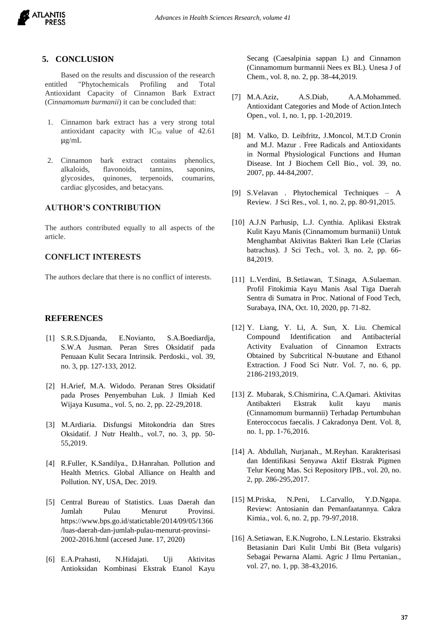

### **5. CONCLUSION**

Based on the results and discussion of the research entitled "Phytochemicals Profiling and Total Antioxidant Capacity of Cinnamon Bark Extract (*Cinnamomum burmanii*) it can be concluded that:

- 1. Cinnamon bark extract has a very strong total antioxidant capacity with  $IC_{50}$  value of 42.61 μg/mL
- 2. Cinnamon bark extract contains phenolics, alkaloids, flavonoids, tannins, saponins, glycosides, quinones, terpenoids, coumarins, cardiac glycosides, and betacyans.

### **AUTHOR'S CONTRIBUTION**

The authors contributed equally to all aspects of the article.

## **CONFLICT INTERESTS**

The authors declare that there is no conflict of interests.

## **REFERENCES**

- [1] S.R.S.Djuanda, E.Novianto, S.A.Boediardja, S.W.A Jusman. Peran Stres Oksidatif pada Penuaan Kulit Secara Intrinsik. Perdoski., vol. 39, no. 3, pp. 127-133, 2012.
- [2] H.Arief, M.A. Widodo. Peranan Stres Oksidatif pada Proses Penyembuhan Luk. J Ilmiah Ked Wijaya Kusuma., vol. 5, no. 2, pp. 22-29,2018.
- [3] M.Ardiaria. Disfungsi Mitokondria dan Stres Oksidatif. J Nutr Health., vol.7, no. 3, pp. 50- 55,2019.
- [4] R.Fuller, K.Sandilya., D.Hanrahan. Pollution and Health Metrics. Global Alliance on Health and Pollution. NY, USA, Dec. 2019.
- [5] Central Bureau of Statistics. Luas Daerah dan Jumlah Pulau Menurut Provinsi. https://www.bps.go.id/statictable/2014/09/05/1366 /luas-daerah-dan-jumlah-pulau-menurut-provinsi-2002-2016.html (accesed June. 17, 2020)
- [6] E.A.Prahasti, N.Hidajati. Uji Aktivitas Antioksidan Kombinasi Ekstrak Etanol Kayu

Secang (Caesalpinia sappan L) and Cinnamon (Cinnamomum burmannii Nees ex BL). Unesa J of Chem., vol. 8, no. 2, pp. 38-44,2019.

- [7] M.A.Aziz, A.S.Diab, A.A.Mohammed. Antioxidant Categories and Mode of Action.Intech Open., vol. 1, no. 1, pp. 1-20,2019.
- [8] M. Valko, D. Leibfritz, J.Moncol, M.T.D Cronin and M.J. Mazur . Free Radicals and Antioxidants in Normal Physiological Functions and Human Disease. Int J Biochem Cell Bio., vol. 39, no. 2007, pp. 44-84,2007.
- [9] S.Velavan . Phytochemical Techniques A Review. J Sci Res., vol. 1, no. 2, pp. 80-91,2015.
- [10] A.J.N Parhusip, L.J. Cynthia. Aplikasi Ekstrak Kulit Kayu Manis (Cinnamomum burmanii) Untuk Menghambat Aktivitas Bakteri Ikan Lele (Clarias batrachus). J Sci Tech., vol. 3, no. 2, pp. 66- 84,2019.
- [11] L.Verdini, B.Setiawan, T.Sinaga, A.Sulaeman. Profil Fitokimia Kayu Manis Asal Tiga Daerah Sentra di Sumatra in Proc. National of Food Tech, Surabaya, INA, Oct. 10, 2020, pp. 71-82.
- [12] Y. Liang, Y. Li, A. Sun, X. Liu. Chemical Compound Identification and Antibacterial Activity Evaluation of Cinnamon Extracts Obtained by Subcritical N-buutane and Ethanol Extraction. J Food Sci Nutr. Vol. 7, no. 6, pp. 2186-2193,2019.
- [13] Z. Mubarak, S.Chismirina, C.A.Qamari. Aktivitas Antibakteri Ekstrak kulit kayu manis (Cinnamomum burmannii) Terhadap Pertumbuhan Enteroccocus faecalis. J Cakradonya Dent. Vol. 8, no. 1, pp. 1-76,2016.
- [14] A. Abdullah, Nurjanah., M.Reyhan. Karakterisasi dan Identifikasi Senyawa Aktif Ekstrak Pigmen Telur Keong Mas. Sci Repository IPB., vol. 20, no. 2, pp. 286-295,2017.
- [15] M.Priska, N.Peni, L.Carvallo, Y.D.Ngapa. Review: Antosianin dan Pemanfaatannya. Cakra Kimia., vol. 6, no. 2, pp. 79-97,2018.
- [16] A.Setiawan, E.K.Nugroho, L.N.Lestario. Ekstraksi Betasianin Dari Kulit Umbi Bit (Beta vulgaris) Sebagai Pewarna Alami. Agric J Ilmu Pertanian., vol. 27, no. 1, pp. 38-43,2016.